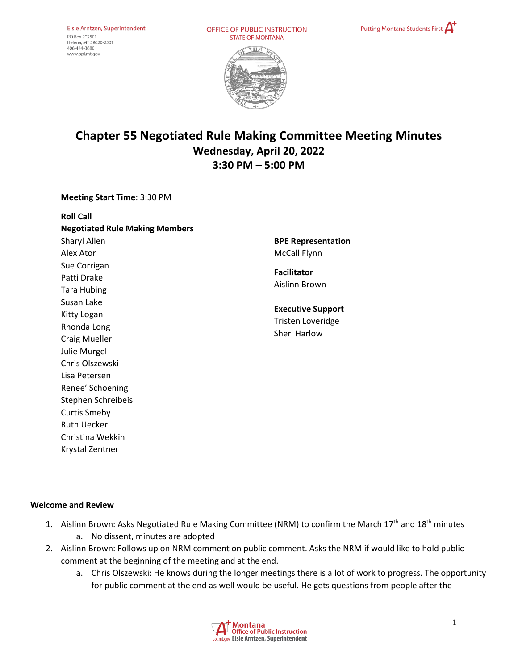OFFICE OF PUBLIC INSTRUCTION **STATE OF MONTANA** 





# **Chapter 55 Negotiated Rule Making Committee Meeting Minutes Wednesday, April 20, 2022 3:30 PM – 5:00 PM**

**Meeting Start Time**: 3:30 PM

| <b>Roll Call</b>                      |                  |
|---------------------------------------|------------------|
| <b>Negotiated Rule Making Members</b> |                  |
| Sharyl Allen                          | <b>BPE Rep</b>   |
| Alex Ator                             | McCall I         |
| Sue Corrigan                          | <b>Facilitat</b> |
| Patti Drake                           | Aislinn I        |
| Tara Hubing                           |                  |
| Susan Lake                            | <b>Executiv</b>  |
| Kitty Logan                           |                  |
| Rhonda Long                           | Tristen I        |
| <b>Craig Mueller</b>                  | Sheri Ha         |
| Julie Murgel                          |                  |
| Chris Olszewski                       |                  |
| Lisa Petersen                         |                  |
| Renee' Schoening                      |                  |
| Stephen Schreibeis                    |                  |
| <b>Curtis Smeby</b>                   |                  |
| <b>Ruth Uecker</b>                    |                  |
| Christina Wekkin                      |                  |

**BPE Representation**  Flynn

tor **Brown** 

**Read Support** Loveridge arlow

## **Welcome and Review**

Krystal Zentner

- 1. Aislinn Brown: Asks Negotiated Rule Making Committee (NRM) to confirm the March 17<sup>th</sup> and 18<sup>th</sup> minutes a. No dissent, minutes are adopted
- 2. Aislinn Brown: Follows up on NRM comment on public comment. Asks the NRM if would like to hold public comment at the beginning of the meeting and at the end.
	- a. Chris Olszewski: He knows during the longer meetings there is a lot of work to progress. The opportunity for public comment at the end as well would be useful. He gets questions from people after the

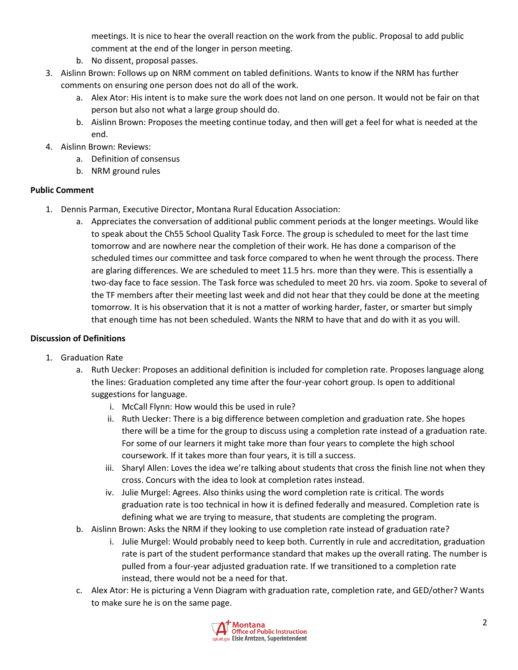meetings. It is nice to hear the overall reaction on the work from the public. Proposal to add public comment at the end of the longer in person meeting.

- b. No dissent, proposal passes.
- 3. Aislinn Brown: Follows up on NRM comment on tabled definitions. Wants to know if the NRM has further comments on ensuring one person does not do all of the work.
	- a. Alex Ator: His intent is to make sure the work does not land on one person. It would not be fair on that person but also not what a large group should do.
	- b. Aislinn Brown: Proposes the meeting continue today, and then will get a feel for what is needed at the end.
- 4. Aislinn Brown: Reviews:
	- a. Definition of consensus
	- b. NRM ground rules

## **Public Comment**

- 1. Dennis Parman, Executive Director, Montana Rural Education Association:
	- a. Appreciates the conversation of additional public comment periods at the longer meetings. Would like to speak about the Ch55 School Quality Task Force. The group is scheduled to meet for the last time tomorrow and are nowhere near the completion of their work. He has done a comparison of the scheduled times our committee and task force compared to when he went through the process. There are glaring differences. We are scheduled to meet 11.5 hrs. more than they were. This is essentially a two-day face to face session. The Task force was scheduled to meet 20 hrs. via zoom. Spoke to several of the TF members after their meeting last week and did not hear that they could be done at the meeting tomorrow. It is his observation that it is not a matter of working harder, faster, or smarter but simply that enough time has not been scheduled. Wants the NRM to have that and do with it as you will.

## **Discussion of Definitions**

- 1. Graduation Rate
	- a. Ruth Uecker: Proposes an additional definition is included for completion rate. Proposes language along the lines: Graduation completed any time after the four-year cohort group. Is open to additional suggestions for language.
		- i. McCall Flynn: How would this be used in rule?
		- ii. Ruth Uecker: There is a big difference between completion and graduation rate. She hopes there will be a time for the group to discuss using a completion rate instead of a graduation rate. For some of our learners it might take more than four years to complete the high school coursework. If it takes more than four years, it is till a success.
		- iii. Sharyl Allen: Loves the idea we're talking about students that cross the finish line not when they cross. Concurs with the idea to look at completion rates instead.
		- iv. Julie Murgel: Agrees. Also thinks using the word completion rate is critical. The words graduation rate is too technical in how it is defined federally and measured. Completion rate is defining what we are trying to measure, that students are completing the program.
	- b. Aislinn Brown: Asks the NRM if they looking to use completion rate instead of graduation rate?
		- i. Julie Murgel: Would probably need to keep both. Currently in rule and accreditation, graduation rate is part of the student performance standard that makes up the overall rating. The number is pulled from a four-year adjusted graduation rate. If we transitioned to a completion rate instead, there would not be a need for that.
	- c. Alex Ator: He is picturing a Venn Diagram with graduation rate, completion rate, and GED/other? Wants to make sure he is on the same page.

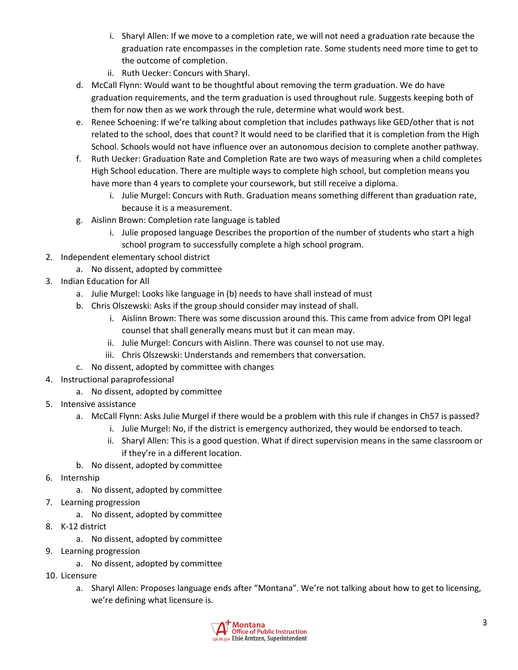- i. Sharyl Allen: If we move to a completion rate, we will not need a graduation rate because the graduation rate encompasses in the completion rate. Some students need more time to get to the outcome of completion.
- ii. Ruth Uecker: Concurs with Sharyl.
- d. McCall Flynn: Would want to be thoughtful about removing the term graduation. We do have graduation requirements, and the term graduation is used throughout rule. Suggests keeping both of them for now then as we work through the rule, determine what would work best.
- e. Renee Schoening: If we're talking about completion that includes pathways like GED/other that is not related to the school, does that count? It would need to be clarified that it is completion from the High School. Schools would not have influence over an autonomous decision to complete another pathway.
- f. Ruth Uecker: Graduation Rate and Completion Rate are two ways of measuring when a child completes High School education. There are multiple ways to complete high school, but completion means you have more than 4 years to complete your coursework, but still receive a diploma.
	- i. Julie Murgel: Concurs with Ruth. Graduation means something different than graduation rate, because it is a measurement.
- g. Aislinn Brown: Completion rate language is tabled
	- i. Julie proposed language Describes the proportion of the number of students who start a high school program to successfully complete a high school program.
- 2. Independent elementary school district
	- a. No dissent, adopted by committee
- 3. Indian Education for All
	- a. Julie Murgel: Looks like language in (b) needs to have shall instead of must
	- b. Chris Olszewski: Asks if the group should consider may instead of shall.
		- i. Aislinn Brown: There was some discussion around this. This came from advice from OPI legal counsel that shall generally means must but it can mean may.
		- ii. Julie Murgel: Concurs with Aislinn. There was counsel to not use may.
		- iii. Chris Olszewski: Understands and remembers that conversation.
	- c. No dissent, adopted by committee with changes
- 4. Instructional paraprofessional
	- a. No dissent, adopted by committee
- 5. Intensive assistance
	- a. McCall Flynn: Asks Julie Murgel if there would be a problem with this rule if changes in Ch57 is passed?
		- i. Julie Murgel: No, if the district is emergency authorized, they would be endorsed to teach.
		- ii. Sharyl Allen: This is a good question. What if direct supervision means in the same classroom or if they're in a different location.
	- b. No dissent, adopted by committee
- 6. Internship
	- a. No dissent, adopted by committee
- 7. Learning progression
	- a. No dissent, adopted by committee
- 8. K-12 district
	- a. No dissent, adopted by committee
- 9. Learning progression
	- a. No dissent, adopted by committee
- 10. Licensure
	- a. Sharyl Allen: Proposes language ends after "Montana". We're not talking about how to get to licensing, we're defining what licensure is.

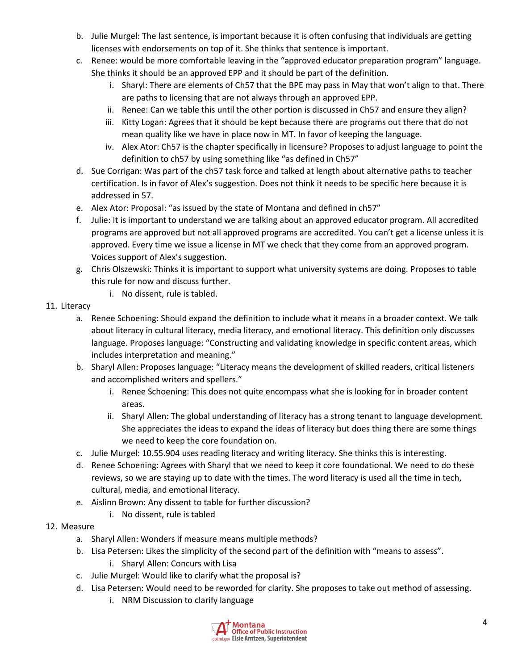- b. Julie Murgel: The last sentence, is important because it is often confusing that individuals are getting licenses with endorsements on top of it. She thinks that sentence is important.
- c. Renee: would be more comfortable leaving in the "approved educator preparation program" language. She thinks it should be an approved EPP and it should be part of the definition.
	- i. Sharyl: There are elements of Ch57 that the BPE may pass in May that won't align to that. There are paths to licensing that are not always through an approved EPP.
	- ii. Renee: Can we table this until the other portion is discussed in Ch57 and ensure they align?
	- iii. Kitty Logan: Agrees that it should be kept because there are programs out there that do not mean quality like we have in place now in MT. In favor of keeping the language.
	- iv. Alex Ator: Ch57 is the chapter specifically in licensure? Proposes to adjust language to point the definition to ch57 by using something like "as defined in Ch57"
- d. Sue Corrigan: Was part of the ch57 task force and talked at length about alternative paths to teacher certification. Is in favor of Alex's suggestion. Does not think it needs to be specific here because it is addressed in 57.
- e. Alex Ator: Proposal: "as issued by the state of Montana and defined in ch57"
- f. Julie: It is important to understand we are talking about an approved educator program. All accredited programs are approved but not all approved programs are accredited. You can't get a license unless it is approved. Every time we issue a license in MT we check that they come from an approved program. Voices support of Alex's suggestion.
- g. Chris Olszewski: Thinks it is important to support what university systems are doing. Proposes to table this rule for now and discuss further.
	- i. No dissent, rule is tabled.

## 11. Literacy

- a. Renee Schoening: Should expand the definition to include what it means in a broader context. We talk about literacy in cultural literacy, media literacy, and emotional literacy. This definition only discusses language. Proposes language: "Constructing and validating knowledge in specific content areas, which includes interpretation and meaning."
- b. Sharyl Allen: Proposes language: "Literacy means the development of skilled readers, critical listeners and accomplished writers and spellers."
	- i. Renee Schoening: This does not quite encompass what she is looking for in broader content areas.
	- ii. Sharyl Allen: The global understanding of literacy has a strong tenant to language development. She appreciates the ideas to expand the ideas of literacy but does thing there are some things we need to keep the core foundation on.
- c. Julie Murgel: 10.55.904 uses reading literacy and writing literacy. She thinks this is interesting.
- d. Renee Schoening: Agrees with Sharyl that we need to keep it core foundational. We need to do these reviews, so we are staying up to date with the times. The word literacy is used all the time in tech, cultural, media, and emotional literacy.
- e. Aislinn Brown: Any dissent to table for further discussion?
	- i. No dissent, rule is tabled
- 12. Measure
	- a. Sharyl Allen: Wonders if measure means multiple methods?
	- b. Lisa Petersen: Likes the simplicity of the second part of the definition with "means to assess".
		- i. Sharyl Allen: Concurs with Lisa
	- c. Julie Murgel: Would like to clarify what the proposal is?
	- d. Lisa Petersen: Would need to be reworded for clarity. She proposes to take out method of assessing.
		- i. NRM Discussion to clarify language

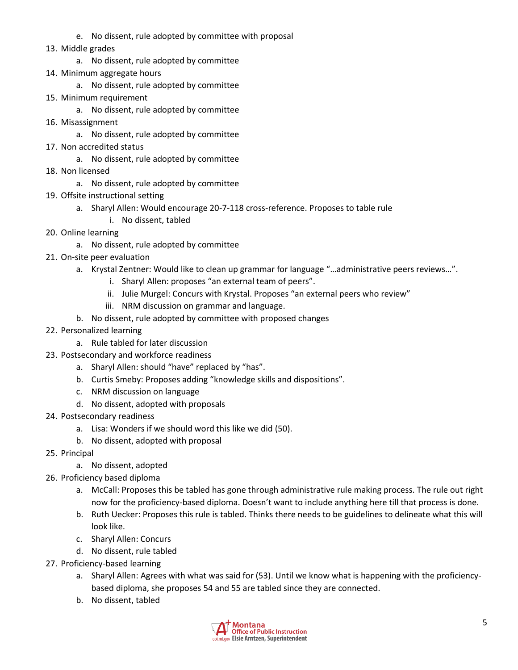- e. No dissent, rule adopted by committee with proposal
- 13. Middle grades
	- a. No dissent, rule adopted by committee
- 14. Minimum aggregate hours
	- a. No dissent, rule adopted by committee
- 15. Minimum requirement
	- a. No dissent, rule adopted by committee
- 16. Misassignment
	- a. No dissent, rule adopted by committee
- 17. Non accredited status
	- a. No dissent, rule adopted by committee
- 18. Non licensed
	- a. No dissent, rule adopted by committee
- 19. Offsite instructional setting
	- a. Sharyl Allen: Would encourage 20-7-118 cross-reference. Proposes to table rule
		- i. No dissent, tabled
- 20. Online learning
	- a. No dissent, rule adopted by committee
- 21. On-site peer evaluation
	- a. Krystal Zentner: Would like to clean up grammar for language "…administrative peers reviews…".
		- i. Sharyl Allen: proposes "an external team of peers".
		- ii. Julie Murgel: Concurs with Krystal. Proposes "an external peers who review"
		- iii. NRM discussion on grammar and language.
	- b. No dissent, rule adopted by committee with proposed changes
- 22. Personalized learning
	- a. Rule tabled for later discussion
- 23. Postsecondary and workforce readiness
	- a. Sharyl Allen: should "have" replaced by "has".
	- b. Curtis Smeby: Proposes adding "knowledge skills and dispositions".
	- c. NRM discussion on language
	- d. No dissent, adopted with proposals
- 24. Postsecondary readiness
	- a. Lisa: Wonders if we should word this like we did (50).
	- b. No dissent, adopted with proposal
- 25. Principal
	- a. No dissent, adopted
- 26. Proficiency based diploma
	- a. McCall: Proposes this be tabled has gone through administrative rule making process. The rule out right now for the proficiency-based diploma. Doesn't want to include anything here till that process is done.
	- b. Ruth Uecker: Proposes this rule is tabled. Thinks there needs to be guidelines to delineate what this will look like.
	- c. Sharyl Allen: Concurs
	- d. No dissent, rule tabled
- 27. Proficiency-based learning
	- a. Sharyl Allen: Agrees with what was said for (53). Until we know what is happening with the proficiencybased diploma, she proposes 54 and 55 are tabled since they are connected.
	- b. No dissent, tabled